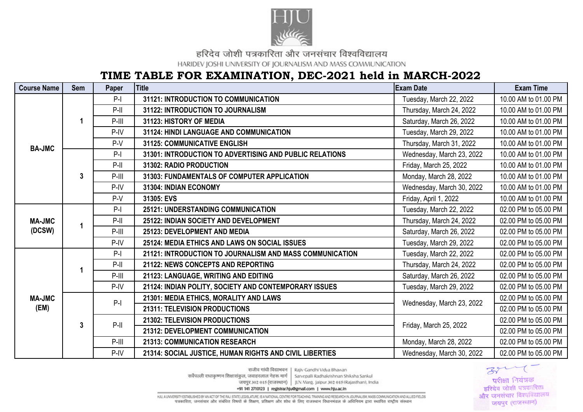

हरिदेव जोशी पत्रकारिता और जनसंचार विश्वविद्यालय

HARIDEV JOSHI UNIVERSITY OF JOURNALISM AND MASS COMMUNICATION

## TIME TABLE FOR EXAMINATION, DEC-2021 held in MARCH-2022

| <b>Course Name</b>      | Sem          | Paper   | <b>Title</b>                                             | <b>Exam Date</b>          | <b>Exam Time</b>     |
|-------------------------|--------------|---------|----------------------------------------------------------|---------------------------|----------------------|
| <b>BA-JMC</b>           |              | $P-I$   | 31121: INTRODUCTION TO COMMUNICATION                     | Tuesday, March 22, 2022   | 10.00 AM to 01.00 PM |
|                         |              | $P-II$  | 31122: INTRODUCTION TO JOURNALISM                        | Thursday, March 24, 2022  | 10.00 AM to 01.00 PM |
|                         |              | $P-III$ | 31123: HISTORY OF MEDIA                                  | Saturday, March 26, 2022  | 10.00 AM to 01.00 PM |
|                         |              | $P-IV$  | <b>31124: HINDI LANGUAGE AND COMMUNICATION</b>           | Tuesday, March 29, 2022   | 10.00 AM to 01.00 PM |
|                         |              | $P-V$   | <b>31125: COMMUNICATIVE ENGLISH</b>                      | Thursday, March 31, 2022  | 10.00 AM to 01.00 PM |
|                         | $\mathbf{3}$ | $P-I$   | 31301: INTRODUCTION TO ADVERTISING AND PUBLIC RELATIONS  | Wednesday, March 23, 2022 | 10.00 AM to 01.00 PM |
|                         |              | $P-II$  | 31302: RADIO PRODUCTION                                  | Friday, March 25, 2022    | 10.00 AM to 01.00 PM |
|                         |              | $P-III$ | 31303: FUNDAMENTALS OF COMPUTER APPLICATION              | Monday, March 28, 2022    | 10.00 AM to 01.00 PM |
|                         |              | $P-IV$  | 31304: INDIAN ECONOMY                                    | Wednesday, March 30, 2022 | 10.00 AM to 01.00 PM |
|                         |              | $P-V$   | 31305: EVS                                               | Friday, April 1, 2022     | 10.00 AM to 01.00 PM |
| <b>MA-JMC</b><br>(DCSW) | 1            | $P-I$   | <b>25121: UNDERSTANDING COMMUNICATION</b>                | Tuesday, March 22, 2022   | 02.00 PM to 05.00 PM |
|                         |              | $P-II$  | 25122: INDIAN SOCIETY AND DEVELOPMENT                    | Thursday, March 24, 2022  | 02.00 PM to 05.00 PM |
|                         |              | $P-III$ | 25123: DEVELOPMENT AND MEDIA                             | Saturday, March 26, 2022  | 02.00 PM to 05.00 PM |
|                         |              | $P-IV$  | 25124: MEDIA ETHICS AND LAWS ON SOCIAL ISSUES            | Tuesday, March 29, 2022   | 02.00 PM to 05.00 PM |
|                         |              | $P-I$   | 21121: INTRODUCTION TO JOURNALISM AND MASS COMMUNICATION | Tuesday, March 22, 2022   | 02.00 PM to 05.00 PM |
|                         |              | $P-II$  | 21122: NEWS CONCEPTS AND REPORTING                       | Thursday, March 24, 2022  | 02.00 PM to 05.00 PM |
|                         |              | $P-III$ | 21123: LANGUAGE, WRITING AND EDITING                     | Saturday, March 26, 2022  | 02.00 PM to 05.00 PM |
|                         |              | $P-IV$  | 21124: INDIAN POLITY, SOCIETY AND CONTEMPORARY ISSUES    | Tuesday, March 29, 2022   | 02.00 PM to 05.00 PM |
| <b>MA-JMC</b>           | $\mathbf{3}$ | $P-I$   | 21301: MEDIA ETHICS, MORALITY AND LAWS                   | Wednesday, March 23, 2022 | 02.00 PM to 05.00 PM |
| (EM)                    |              |         | 21311: TELEVISION PRODUCTIONS                            |                           | 02.00 PM to 05.00 PM |
|                         |              | $P-II$  | 21302: TELEVISION PRODUCTIONS                            | Friday, March 25, 2022    | 02.00 PM to 05.00 PM |
|                         |              |         | 21312: DEVELOPMENT COMMUNICATION                         |                           | 02.00 PM to 05.00 PM |
|                         |              | $P-III$ | 21313: COMMUNICATION RESEARCH                            | Monday, March 28, 2022    | 02.00 PM to 05.00 PM |
|                         |              | P-IV    | 21314: SOCIAL JUSTICE, HUMAN RIGHTS AND CIVIL LIBERTIES  | Wednesday, March 30, 2022 | 02.00 PM to 05.00 PM |

 $39 - 7$ परीक्षा नियंत्रक चरिदेव जोशी पत्रकारिता और जनसंचार विश्वविद्यालय जयपुर (राजस्थान)

राजीव गांधी विद्याभवन | Rajiv Gandhi Vidva Bhawan

सर्वेपल्ली राधाकृष्णन शिक्षासंकल, जवाहरलाल नेहरू मार्ग Sarvepalli Radhakrishnan Shiksha Sankul

जयपुर 302 015 (राजस्थान) | JLN Marg. Jalpur 302 015 (Rajasthan), India

+91 141 2710123 | registrar.hju@gmail.com | www.hju.ac.in

HALL A UNIVERSITY ESTABLISHED BY AN ACT OF THE RAJ. STATE LEGISLATURE, IS A NATIONAL CENTRE FOR TEACHING TRAINING AND RESEARCH IN JOURNALISM, MASS COMMUNICATION AND ALLIED FIELDS पत्रकारिता, जनसंचार और संबंधित विषयों के शिक्षण, प्रशिक्षण और शोध के लिए राजस्थान विधानमंडल के अधिनियम द्वारा स्थापित राष्ट्रीय संस्थान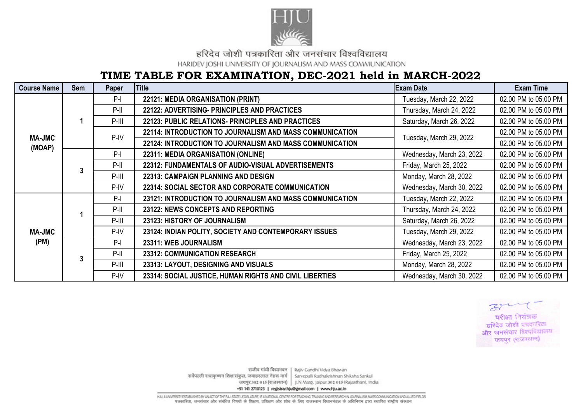

हरिदेव जोशी पत्रकारिता और जनसंचार विश्वविद्यालय

HARIDEV JOSHI UNIVERSITY OF JOURNALISM AND MASS COMMUNICATION

## TIME TABLE FOR EXAMINATION, DEC-2021 held in MARCH-2022

| <b>Course Name</b>      | Sem | Paper   | <b>Title</b>                                             | <b>Exam Date</b>          | <b>Exam Time</b>     |
|-------------------------|-----|---------|----------------------------------------------------------|---------------------------|----------------------|
| <b>MA-JMC</b><br>(MOAP) |     | $P-I$   | 22121: MEDIA ORGANISATION (PRINT)                        | Tuesday, March 22, 2022   | 02.00 PM to 05.00 PM |
|                         |     | $P-II$  | 22122: ADVERTISING- PRINCIPLES AND PRACTICES             | Thursday, March 24, 2022  | 02.00 PM to 05.00 PM |
|                         |     | $P-III$ | 22123: PUBLIC RELATIONS- PRINCIPLES AND PRACTICES        | Saturday, March 26, 2022  | 02.00 PM to 05.00 PM |
|                         |     | $P-IV$  | 22114: INTRODUCTION TO JOURNALISM AND MASS COMMUNICATION | Tuesday, March 29, 2022   | 02.00 PM to 05.00 PM |
|                         |     |         | 22124: INTRODUCTION TO JOURNALISM AND MASS COMMUNICATION |                           | 02.00 PM to 05.00 PM |
|                         | 3   | $P-I$   | 22311: MEDIA ORGANISATION (ONLINE)                       | Wednesday, March 23, 2022 | 02.00 PM to 05.00 PM |
|                         |     | $P-II$  | 22312: FUNDAMENTALS OF AUDIO-VISUAL ADVERTISEMENTS       | Friday, March 25, 2022    | 02.00 PM to 05.00 PM |
|                         |     | $P-III$ | <b>22313: CAMPAIGN PLANNING AND DESIGN</b>               | Monday, March 28, 2022    | 02.00 PM to 05.00 PM |
|                         |     | P-IV    | 22314: SOCIAL SECTOR AND CORPORATE COMMUNICATION         | Wednesday, March 30, 2022 | 02.00 PM to 05.00 PM |
| <b>MA-JMC</b><br>(PM)   |     | $P-I$   | 23121: INTRODUCTION TO JOURNALISM AND MASS COMMUNICATION | Tuesday, March 22, 2022   | 02.00 PM to 05.00 PM |
|                         |     | $P-II$  | 23122: NEWS CONCEPTS AND REPORTING                       | Thursday, March 24, 2022  | 02.00 PM to 05.00 PM |
|                         |     | $P-III$ | 23123: HISTORY OF JOURNALISM                             | Saturday, March 26, 2022  | 02.00 PM to 05.00 PM |
|                         |     | P-IV    | 23124: INDIAN POLITY, SOCIETY AND CONTEMPORARY ISSUES    | Tuesday, March 29, 2022   | 02.00 PM to 05.00 PM |
|                         | 3   | $P-I$   | 23311: WEB JOURNALISM                                    | Wednesday, March 23, 2022 | 02.00 PM to 05.00 PM |
|                         |     | $P-II$  | 23312: COMMUNICATION RESEARCH                            | Friday, March 25, 2022    | 02.00 PM to 05.00 PM |
|                         |     | $P-III$ | 23313: LAYOUT, DESIGNING AND VISUALS                     | Monday, March 28, 2022    | 02.00 PM to 05.00 PM |
|                         |     | P-IV    | 23314: SOCIAL JUSTICE, HUMAN RIGHTS AND CIVIL LIBERTIES  | Wednesday, March 30, 2022 | 02.00 PM to 05.00 PM |



राजीव गांधी विद्याभवन | Rajiv Gandhi Vidya Bhawan सर्वेपल्ली राधाकृष्णन शिक्षासंकुल, जवाहरलाल नेहरू मार्ग Sarvepalli Radhakrishnan Shiksha Sankul जयपुर 302 015 (राजस्थान) | JLN Marg. Jalpur 302 015 (Rajasthan), India +91 141 2710123 | registrar.hju@gmail.com | www.hju.ac.in

HALL A UNIVERSITY ESTABLISHED BY AN ACT OF THE RAJ. STATE LEGISLATURE, IS A NATIONAL CENTRE FOR TEACHING TRAINING AND RESEARCH IN JOURNALISM, MASS COMMUNICATION AND ALLIED FIELDS पत्रकारिता, जनसंचार और संबंधित विषयों के शिक्षण, प्रशिक्षण और शोध के लिए राजस्थान विधानमंडल के अधिनियम द्वारा स्थापित राष्ट्रीय संस्थान